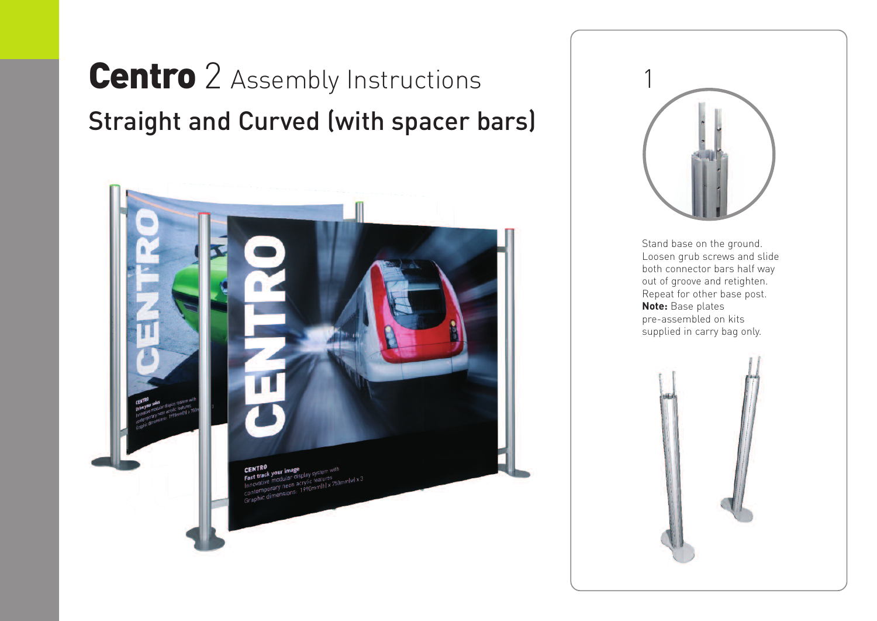## **Centro** 2 Assembly Instructions Straight and Curved (with spacer bars)





Stand base on the ground. Loosen grub screws and slide both connector bars half way out of groove and retighten. Repeat for other base post. **Note:** Base plates pre-assembled on kits supplied in carry bag only.

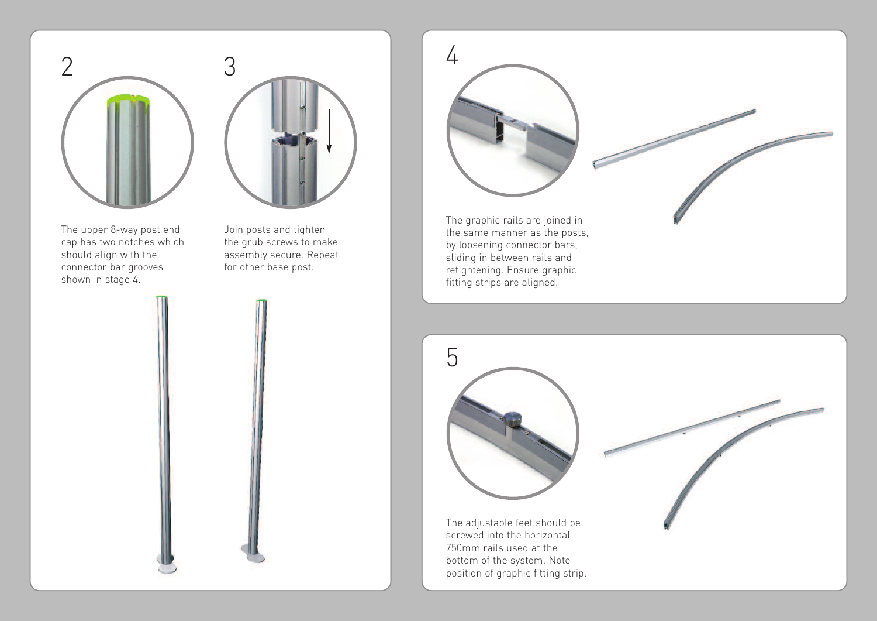



The upper 8-way post end cap has two notches which should align with the connector bar grooves shown in stage 4.

Join posts and tighten the grub screws to make assembly secure. Repeat for other base post.



The adjustable feet should be screwed into the horizontal 750mm rails used at the bottom of the system. Note position of graphic fitting strip.

5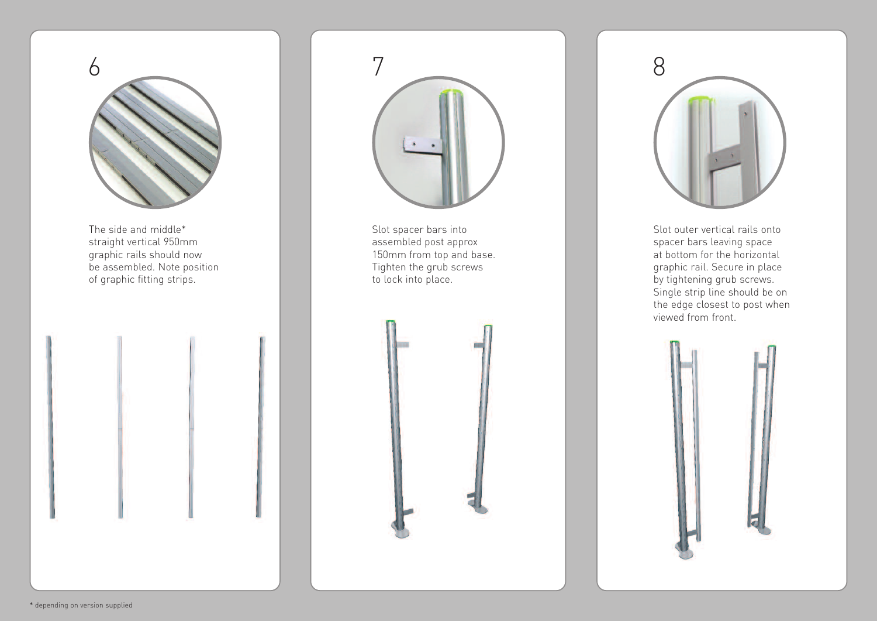

The side and middle\* straight vertical 950mm graphic rails should now be assembled. Note position of graphic fitting strips.



Slot spacer bars into assembled post approx 150mm from top and base. Tighten the grub screws to lock into place.





Slot outer vertical rails onto spacer bars leaving space at bottom for the horizontal graphic rail. Secure in place by tightening grub screws. Single strip line should be on the edge closest to post when viewed from front.